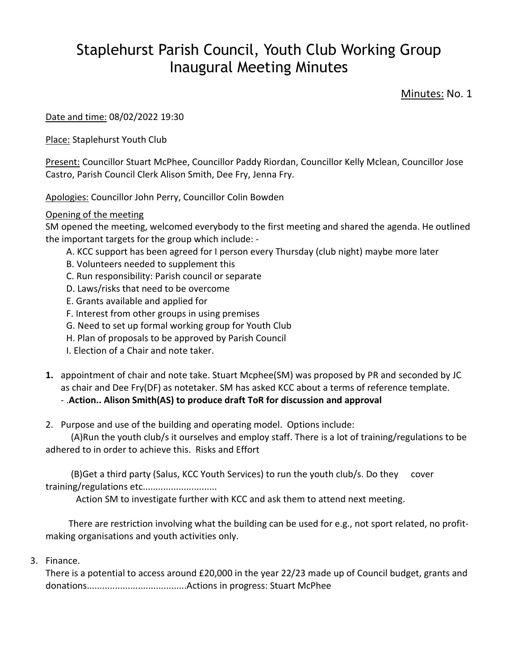## Staplehurst Parish Council, Youth Club Working Group Inaugural Meeting Minutes

Minutes: No. 1

Date and time: 08/02/2022 19:30

Place: Staplehurst Youth Club

Present: Councillor Stuart McPhee, Councillor Paddy Riordan, Councillor Kelly Mclean, Councillor Jose Castro, Parish Council Clerk Alison Smith, Dee Fry, Jenna Fry.

Apologies: Councillor John Perry, Councillor Colin Bowden

## Opening of the meeting

SM opened the meeting, welcomed everybody to the first meeting and shared the agenda. He outlined the important targets for the group which include: -

- A. KCC support has been agreed for I person every Thursday (club night) maybe more later
- B. Volunteers needed to supplement this
- C. Run responsibility: Parish council or separate
- D. Laws/risks that need to be overcome
- E. Grants available and applied for
- F. Interest from other groups in using premises
- G. Need to set up formal working group for Youth Club
- H. Plan of proposals to be approved by Parish Council
- I. Election of a Chair and note taker.
- **1.** appointment of chair and note take. Stuart Mcphee(SM) was proposed by PR and seconded by JC as chair and Dee Fry(DF) as notetaker. SM has asked KCC about a terms of reference template.

## - .**Action.. Alison Smith(AS) to produce draft ToR for discussion and approval**

2. Purpose and use of the building and operating model. Options include:

 (A)Run the youth club/s it ourselves and employ staff. There is a lot of training/regulations to be adhered to in order to achieve this. Risks and Effort

 (B)Get a third party (Salus, KCC Youth Services) to run the youth club/s. Do they cover training/regulations etc.............................

Action SM to investigate further with KCC and ask them to attend next meeting.

 There are restriction involving what the building can be used for e.g., not sport related, no profitmaking organisations and youth activities only.

3. Finance.

There is a potential to access around £20,000 in the year 22/23 made up of Council budget, grants and donations.......................................Actions in progress: Stuart McPhee